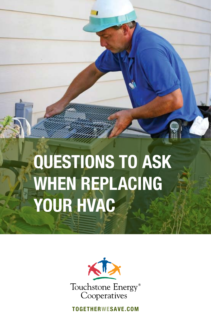# QUESTIONS TO ASK WHEN REPLACING YOUR HVAC



TOGETHERWESAVE.COM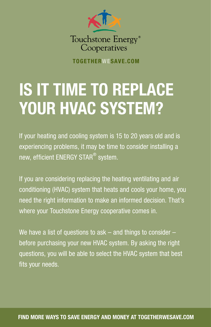

TOGETHERWESAVE.COM

## IS IT TIME TO REPLACE YOUR HVAC SYSTEM?

If your heating and cooling system is 15 to 20 years old and is experiencing problems, it may be time to consider installing a new, efficient ENERGY STAR $^\circledast$  system.

If you are considering replacing the heating ventilating and air conditioning (HVAC) system that heats and cools your home, you need the right information to make an informed decision. That's where your Touchstone Energy cooperative comes in.

We have a list of questions to ask – and things to consider – before purchasing your new HVAC system. By asking the right questions, you will be able to select the HVAC system that best fits your needs.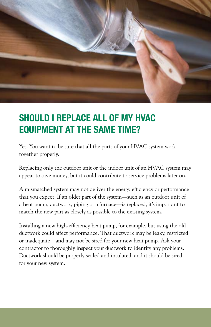

#### SHOULD I REPLACE ALL OF MY HVAC EQUIPMENT AT THE SAME TIME?

Yes. You want to be sure that all the parts of your HVAC system work together properly.

Replacing only the outdoor unit or the indoor unit of an HVAC system may appear to save money, but it could contribute to service problems later on.

A mismatched system may not deliver the energy efficiency or performance that you expect. If an older part of the system—such as an outdoor unit of a heat pump, ductwork, piping or a furnace—is replaced, it's important to match the new part as closely as possible to the existing system.

Installing a new high-efficiency heat pump, for example, but using the old ductwork could affect performance. That ductwork may be leaky, restricted or inadequate—and may not be sized for your new heat pump. Ask your contractor to thoroughly inspect your ductwork to identify any problems. Ductwork should be properly sealed and insulated, and it should be sized for your new system.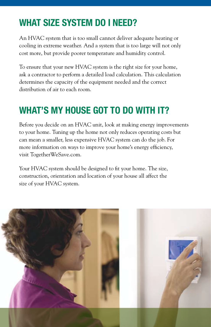#### WHAT SIZE SYSTEM DO I NEED?

An HVAC system that is too small cannot deliver adequate heating or cooling in extreme weather. And a system that is too large will not only cost more, but provide poorer temperature and humidity control.

To ensure that your new HVAC system is the right size for your home, ask a contractor to perform a detailed load calculation. This calculation determines the capacity of the equipment needed and the correct distribution of air to each room.

### WHAT'S MY HOUSE GOT TO DO WITH IT?

Before you decide on an HVAC unit, look at making energy improvements to your home. Tuning up the home not only reduces operating costs but can mean a smaller, less expensive HVAC system can do the job. For more information on ways to improve your home's energy efficiency, visit TogetherWeSave.com.

Your HVAC system should be designed to fit your home. The size, construction, orientation and location of your house all affect the size of your HVAC system.

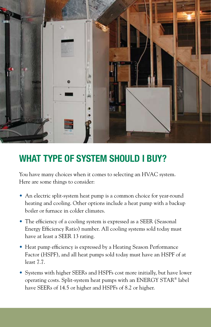

#### WHAT TYPE OF SYSTEM SHOULD I BUY?

You have many choices when it comes to selecting an HVAC system. Here are some things to consider:

- An electric split-system heat pump is a common choice for year-round heating and cooling. Other options include a heat pump with a backup boiler or furnace in colder climates.
- The efficiency of a cooling system is expressed as a SEER (Seasonal Energy Efficiency Ratio) number. All cooling systems sold today must have at least a SEER 13 rating.
- Heat pump efficiency is expressed by a Heating Season Performance Factor (HSPF), and all heat pumps sold today must have an HSPF of at least 7.7.
- Systems with higher SEERs and HSPFs cost more initially, but have lower operating costs. Split-system heat pumps with an ENERGY STAR® label have SEERs of 14.5 or higher and HSPFs of 8.2 or higher.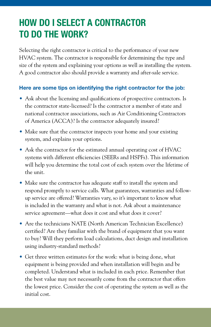## HOW DO I SELECT A CONTRACTOR TO DO THE WORK?

Selecting the right contractor is critical to the performance of your new HVAC system. The contractor is responsible for determining the type and size of the system and explaining your options as well as installing the system. A good contractor also should provide a warranty and after-sale service.

#### Here are some tips on identifying the right contractor for the job:

- Ask about the licensing and qualifications of prospective contractors. Is the contractor state-licensed? Is the contractor a member of state and national contractor associations, such as Air Conditioning Contractors of America (ACCA)? Is the contractor adequately insured?
- Make sure that the contractor inspects your home and your existing system, and explains your options.
- Ask the contractor for the estimated annual operating cost of HVAC systems with different efficiencies (SEERs and HSPFs). This information will help you determine the total cost of each system over the lifetime of the unit.
- Make sure the contractor has adequate staff to install the system and respond promptly to service calls. What guarantees, warranties and followup service are offered? Warranties vary, so it's important to know what is included in the warranty and what is not. Ask about a maintenance service agreement—what does it cost and what does it cover?
- Are the technicians NATE (North American Technician Excellence) certified? Are they familiar with the brand of equipment that you want to buy? Will they perform load calculations, duct design and installation using industry-standard methods?
- Get three written estimates for the work: what is being done, what equipment is being provided and when installation will begin and be completed. Understand what is included in each price. Remember that the best value may not necessarily come from the contractor that offers the lowest price. Consider the cost of operating the system as well as the initial cost.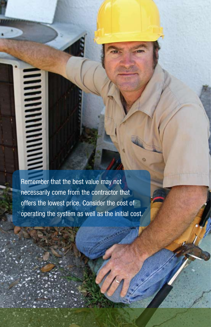Remember that the best value may not necessarily come from the contractor that offers the lowest price. Consider the cost of operating the system as well as the initial cost.

**MINIMINININININININ**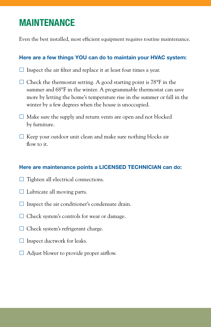#### MAINTENANCE

Even the best installed, most efficient equipment requires routine maintenance.

#### Here are a few things YOU can do to maintain your HVAC system:

- $\square$  Inspect the air filter and replace it at least four times a year.
- $\Box$  Check the thermostat setting. A good starting point is 78 $\mathrm{P}$  in the summer and 68°F in the winter. A programmable thermostat can save more by letting the home's temperature rise in the summer or fall in the winter by a few degrees when the house is unoccupied.
- $\Box$  Make sure the supply and return vents are open and not blocked by furniture.
- $\square$  Keep your outdoor unit clean and make sure nothing blocks air flow to it.

#### Here are maintenance points a LICENSED TECHNICIAN can do:

- $\Box$  Tighten all electrical connections.
- $\Box$  Lubricate all moving parts.
- $\square$  Inspect the air conditioner's condensate drain.
- $\Box$  Check system's controls for wear or damage.
- $\Box$  Check system's refrigerant charge.
- $\square$  Inspect ductwork for leaks.
- $\Box$  Adjust blower to provide proper airflow.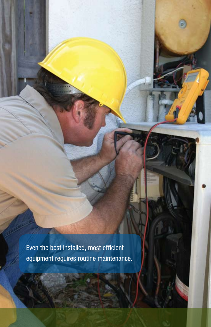Even the best installed, most efficient equipment requires routine maintenance.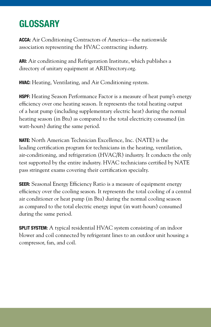## **GLOSSARY**

ACCA: Air Conditioning Contractors of America—the nationwide association representing the HVAC contracting industry.

ARI: Air conditioning and Refrigeration Institute, which publishes a directory of unitary equipment at ARIDirectory.org.

**HVAC:** Heating, Ventilating, and Air Conditioning system.

HSPF: Heating Season Performance Factor is a measure of heat pump's energy efficiency over one heating season. It represents the total heating output of a heat pump (including supplementary electric heat) during the normal heating season (in Btu) as compared to the total electricity consumed (in watt-hours) during the same period.

NATE: North American Technician Excellence, Inc. (NATE) is the leading certification program for technicians in the heating, ventilation, air-conditioning, and refrigeration (HVAC/R) industry. It conducts the only test supported by the entire industry. HVAC technicians certified by NATE pass stringent exams covering their certification specialty.

**SEER:** Seasonal Energy Efficiency Ratio is a measure of equipment energy efficiency over the cooling season. It represents the total cooling of a central air conditioner or heat pump (in Btu) during the normal cooling season as compared to the total electric energy input (in watt-hours) consumed during the same period.

SPLIT SYSTEM: A typical residential HVAC system consisting of an indoor blower and coil connected by refrigerant lines to an outdoor unit housing a compressor, fan, and coil.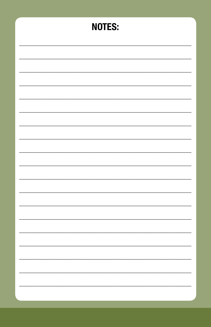| <b>NOTES:</b> |
|---------------|
|               |
|               |
|               |
|               |
|               |
|               |
|               |
|               |
|               |
|               |
| ÷             |
|               |